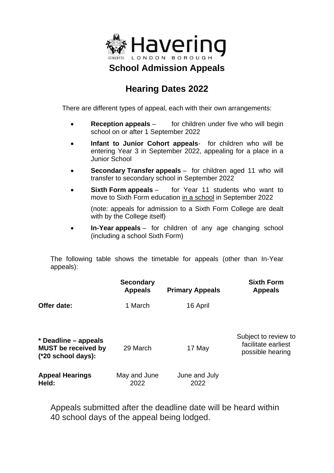

## **Hearing Dates 2022**

There are different types of appeal, each with their own arrangements:

- **Reception appeals** for children under five who will begin school on or after 1 September 2022
- **Infant to Junior Cohort appeals** for children who will be entering Year 3 in September 2022, appealing for a place in a Junior School
- **Secondary Transfer appeals**  for children aged 11 who will transfer to secondary school in September 2022
- **Sixth Form appeals** for Year 11 students who want to move to Sixth Form education in a school in September 2022

(note: appeals for admission to a Sixth Form College are dealt with by the College itself)

• **In-Year appeals** – for children of any age changing school (including a school Sixth Form)

The following table shows the timetable for appeals (other than In-Year appeals):

|                                                                            | <b>Secondary</b><br><b>Appeals</b> | <b>Primary Appeals</b> | <b>Sixth Form</b><br><b>Appeals</b>                             |
|----------------------------------------------------------------------------|------------------------------------|------------------------|-----------------------------------------------------------------|
| Offer date:                                                                | 1 March                            | 16 April               |                                                                 |
| * Deadline – appeals<br><b>MUST</b> be received by<br>$(*20$ school days): | 29 March                           | 17 May                 | Subject to review to<br>facilitate earliest<br>possible hearing |
| <b>Appeal Hearings</b><br>Held:                                            | May and June<br>2022               | June and July<br>2022  |                                                                 |

Appeals submitted after the deadline date will be heard within 40 school days of the appeal being lodged.